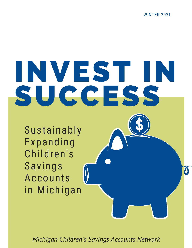WINTER 2021

# INVEST IN SUCCESS

Sustainably Expanding Children's Savings Accounts in Michigan

*Michigan Children's Savings Accounts Network*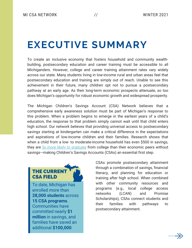### **EXECUTIVE SUMMARY**

To create an inclusive economy that fosters household and community wealthbuilding, postsecondary education and career training must be accessible to all Michiganders. However, college and career training attainment rates vary widely across our state. Many students living in low-income rural and urban areas feel that postsecondary education and training are simply out of reach. Unable to see this achievement in their future, many children opt not to pursue a postsecondary pathway at an early age. As their long-term economic prospects attenuate, so too does Michigan's opportunity for robust economic growth and widespread prosperity.

The Michigan Children's Savings Account (CSA) Network believes that a comprehensive early awareness solution must be part of Michigan's response to this problem. When a problem begins to emerge in the earliest years of a child's education, the response to that problem simply cannot wait until that child enters high school. Our network believes that providing universal access to postsecondary savings starting at kindergarten can make a critical difference in the expectations and aspirations of low-income children and their families. Research shows that when a child from a low- to moderate-income household has even \$500 in savings, they are  $5x$  more likely to graduate from college than their economic peers without savings—making Children's Savings Accounts (CSAs) an essential first step.

#### THE CURRENT CSA FIELD

To date, Michigan has enrolled more than **28,000 students** across **15 CSA programs**. Communities have committed nearly **\$1 million** in savings, and families have saved an additional **\$100,000**.

CSAs promote postsecondary attainment through a combination of savings, financial literacy, and planning for education or training after high school. When combined with other community resources and programs (e.g., local college access networks (LCAN) and Promise Scholarships), CSAs connect students and their families with pathways to postsecondary attainment.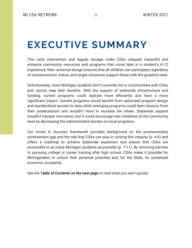### **EXECUTIVE SUMMARY**

This early intervention and regular dosage make CSAs uniquely impactful and enhance community resources and programs that come later in a student's K-12 experience; their universal design ensures that all children can participate regardless of socioeconomic status, and target resources support those with the greatest need.

Unfortunately, most Michigan students don't currently live in communities with CSAs and cannot reap their benefits. With the support of statewide infrastructure and funding, current programs could operate more efficiently and have a more significant impact. Current programs would benefit from optimized program design and standardized access to data while emerging programs could learn lessons from their predecessors and wouldn't have to recreate the wheel. Statewide support wouldn't hamper innovation, but it could encourage new initiatives at the community level by decreasing the administrative burden on local programs.

Our Invest in Success framework provides background on the postsecondary achievement gap and the role that CSAs can play in closing this inequity (p. 4-6) and offers a roadmap to achieve statewide expansion and ensure that CSAs are accessible to as many Michigan students as possible (p. 7-11). By removing barriers to pursuing college or career training after high school, CSAs make it possible for Michiganders to unlock their personal potential and, for the State, its unrealized economic prosperity.

*See the Table of Contents on the next page to read what you want quickly.*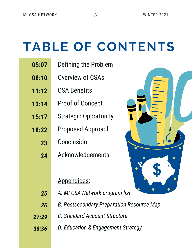# **TABLE OF CONTENTS**

- Defining the Problem **05:07**
- Overview of CSAs **08:10**
- CSA Benefits **11:12**
- Proof of Concept **13:14**
- Strategic Opportunity **15:17**
- Proposed Approach **18:22**
	- Conclusion **23**
	- Acknowledgements **24**

#### Appendices:

- *A: MI CSA Network program list 25*
- *B: Postsecondary Preparation Resource Map 26*
- *C: Standard Account Structure 27:29*
- *D: Education & Engagement Strategy 30:36*

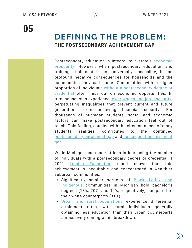### **DEFINING THE PROBLEM: THE POSTSECONDARY ACHIEVEMENT GAP**

[Postsecondary](https://www.clevelandfed.org/en/newsroom-and-events/publications/working-papers/working-papers-archives/2006-working-papers/wp-0606-state-growth-empirics-the-long-run-determinants-of-state-income-growth.aspx) education is integral to a state's economic prosperity. However, when postsecondary education and training attainment is not universally accessible, it has profound negative consequences for households and the communities they call home. Communities with a higher proportion of individuals without a [postsecondary](https://www.clevelandfed.org/en/newsroom-and-events/publications/working-papers/working-papers-archives/2006-working-papers/wp-0606-state-growth-empirics-the-long-run-determinants-of-state-income-growth.aspx) degree or credential often miss out on economic opportunities. In turn, households experience [l](https://www.bls.gov/careeroutlook/2016/data-on-display/education-matters.htm)ower wages and job [insecurity](https://www.bls.gov/careeroutlook/2016/data-on-display/education-matters.htm), perpetuating inequalities that prevent current and future generations from achieving financial security. For thousands of Michigan students, social and economic factors can make postsecondary education feel out of reach. This feeling, coupled with the circumstances of many students' realities, contributes to the continued [postsecondary](https://www.higheredtoday.org/2020/06/23/inequities-higher-education-persist/) enrollment gap and subsequent [achievement](https://www.americanprogress.org/issues/education-postsecondary/reports/2018/05/23/451186/neglected-college-race-gap-racial-disparities-among-college-completers/) gap.

While Michigan has made strides in increasing the number of individuals with a postsecondary degree or credential, a 2021 Lumina [Foundation](https://luminafoundation.org/stronger-nation/report/2021/#/progress/state/MI) report shows that this achievement is inequitable and concentrated in wealthier suburban communities.

- Significantly smaller portions of **[B](https://mlpp.org/michigan-has-stark-racial-disparities-in-educational-attainment-ranks-third-worst-in-nation-for-number-of-bachelor-degrees-earned-by-black-students/)lack**, Latinx, and Indigenous [communities](https://mlpp.org/michigan-has-stark-racial-disparities-in-educational-attainment-ranks-third-worst-in-nation-for-number-of-bachelor-degrees-earned-by-black-students/) in Michigan hold bachelor's degrees (18%, 20%, and 14%, respectively) compared to their white counterparts (31%).
- Urban and rural [populations](https://www.ers.usda.gov/webdocs/publications/83078/eib171_forprinting.pdf?v=4967.2) experience differential attainment rates, with rural individuals generally obtaining less education than their urban counterparts across every demographic breakdown.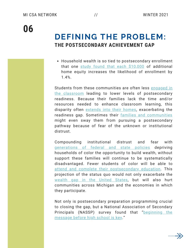### **DEFINING THE PROBLEM: THE POSTSECONDARY ACHIEVEMENT GAP**

Household wealth is so tied to postsecondary enrollment that one [s](https://www.nber.org/reporter/2017number3/resource-barriers-postsecondary-educational-attainment)tudy found that each [\\$10,000](https://www.nber.org/reporter/2017number3/resource-barriers-postsecondary-educational-attainment) of additional home equity increases the likelihood of enrollment by 1.4%.

Students from these communities are often less [e](https://www.mdrc.org/publication/closing-aspirations-attainment-gap)ngaged in the classroom leading to lower levels of [postsecondary](https://www.mdrc.org/publication/closing-aspirations-attainment-gap) readiness. Because their families lack the time and/or resources needed to enhance classroom learning, this disparity often [extends](https://www.projectappleseed.org/barriers) into their homes, exacerbating the readiness gap. Sometimes their families and [communities](https://www.jhseonline.com/index.php/ruraled/article/view/1244/926) might even sway them from pursuing a postsecondary pathway because of fear of the unknown or institutional distrust.

Compounding institutional distrust and fear with [generations](https://www.americanprogress.org/issues/economy/reports/2021/03/19/497377/eliminating-black-white-wealth-gap-generational-challenge/) of federal and state policies [depriv](https://www.americanprogress.org/issues/economy/reports/2021/03/19/497377/eliminating-black-white-wealth-gap-generational-challenge/)ing households of color the opportunity to build wealth, without support these families will continue to be systematically disadvantaged. Fewer students of color will be able to attend and complete their [postsecondary](https://www.urban.org/sites/default/files/publication/89976/wealth_and_education_4.pdf) education. This projection of the status quo would not only exacerbate the [wealth](https://inequality.org/facts/wealth-inequality/) gap in the United States, but will also hurt communities across Michigan and the economies in which they participate.

Not only is postsecondary preparation programming crucial to closing the gap, but a National Association of Secondary Principals (NASSP) survey found that ["beginning](https://cdn.ymaws.com/www.ncan.org/resource/resmgr/publications/eapolicystrategies_2016.pdf) the message before high school is key."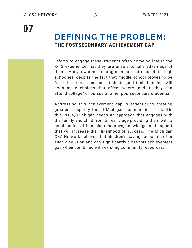### **DEFINING THE PROBLEM: THE POSTSECONDARY ACHIEVEMENT GAP**

Efforts to engage these students often come so late in the K-12 experience that they are unable to take advantage of them. Many awareness programs are introduced to high schoolers, despite the fact that middle school proves to be "a [critical](https://cdn.ymaws.com/www.ncan.org/resource/resmgr/publications/eapolicystrategies_2016.pdf) time...because students [and their families] will soon make choices that affect where [and if] they can attend college" or pursue another postsecondary credential.

Addressing this achievement gap is essential to creating greater prosperity for all Michigan communities. To tackle this issue, Michigan needs an approach that engages with the family and child from an early age providing them with a combination of financial resources, knowledge, and support that will increase their likelihood of success. The Michigan CSA Network believes that children's savings accounts offer such a solution and can significantly close this achievement gap when combined with existing community resources.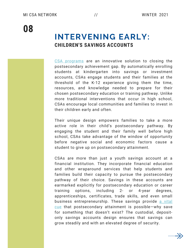#### **INTERVENING EARLY: CHILDREN'S SAVINGS ACCOUNTS**

CSA [programs](https://cedamichigan.org/mcfe/childrens-savings/) are an innovative solution to closing the postsecondary achievement gap. By automatically enrolling students at kindergarten into savings or investment accounts, CSAs engage students and their families at the threshold of the K-12 experience giving them the time, resources, and knowledge needed to prepare for their chosen postsecondary education or training pathway. Unlike more traditional interventions that occur in high school, CSAs encourage local communities and families to invest in their children early and often.

Their unique design empowers families to take a more active role in their child's postsecondary pathway. By engaging the student and their family well before high school, CSAs take advantage of the window of opportunity before negative social and economic factors cause a student to give up on postsecondary attainment.

CSAs are more than just a youth savings account at a financial institution. They incorporate financial education and other wraparound services that help students and families build their capacity to pursue the postsecondary pathway of their choice. Savings in these accounts are earmarked explicitly for postsecondary education or career training options, including 2- or 4-year degrees, apprenticeships, certificates, trade skills, and even small business [entrepreneurship.](https://files.eric.ed.gov/fulltext/ED587427.pdf) These savings provide a vital cue that postsecondary attainment is possible—why save for something that doesn't exist? The custodial, depositonly savings accounts design ensures that savings can grow steadily and with an elevated degree of security.

 $\cdots \rightarrow)$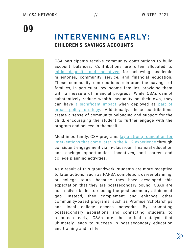### **INTERVENING EARLY: CHILDREN'S SAVINGS ACCOUNTS**

CSA participants receive community contributions to build account balances. Contributions are often allocated to initial deposits and [incentives](https://prosperitynow.org/sites/default/files/resources/Community_Foundations_and_CSAs.pdf) for achieving academic milestones, community service, and financial education. These community contributions reinforce the savings of families, in particular low-income families, providing them with a measure of financial progress. While CSAs cannot substantively reduce wealth inequality on their own, they can have a [significant](https://www.rsfjournal.org/content/7/3/176#ref-63) impact when deployed as part of broad policy strategy. Additionally, these [contributions](https://www.rsfjournal.org/content/7/3/176#ref-63) create a sense of community belonging and support for the child, encouraging the student to further engage with the program and believe in themself.

Most importantly, CSA programs lay a strong foundation for [interventions](https://prosperitynow.org/sites/default/files/resources/The-Power-of-Connecting-CSA-and-College%20Access-Success-Programs.pdf) that come later in the K-12 experience through consistent engagement via in-classroom financial education and savings opportunities, incentives, and career and college planning activities.

As a result of this groundwork, students are more receptive to later actions, such as FAFSA completion, career planning, or college tours, because they have developed this expectation that they are postsecondary bound. CSAs are not a silver bullet to closing the postsecondary attainment gap. Instead, they complement and enhance other community-based programs, such as Promise Scholarships and local college access networks. By promoting postsecondary aspirations and connecting students to resources early, CSAs are the critical catalyst that ultimately leads to success in post-secondary education and training and in life.

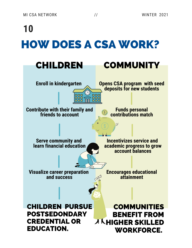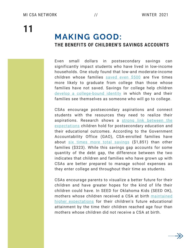#### **MAKING GOOD: THE BENEFITS OF CHILDREN'S SAVINGS ACCOUNTS**

Even small dollars in postsecondary savings can significantly impact students who have lived in low-income households. One study found that low-and moderate-income children whose families [saved](https://openscholarship.wustl.edu/cgi/viewcontent.cgi?article=1322&context=csd_research) even \$500 are five times more likely to graduate from college than those whose families have not saved. Savings for college help children develop a [college-bound](https://csd.wustl.edu/13-27/) identity in which they and their families see themselves as someone who will go to college.

CSAs encourage postsecondary aspirations and connect students with the resources they need to realize their aspirations. Research shows a strong link between the expec[tations](https://www.bostonfed.org/publications/community-development-issue-briefs/2016/identifying-short-term-outcome-metrics-for-evaluating-whether-childrens-savings-accounts-programs-are-on-track.aspx) children hold for [postsecondary](https://www.bostonfed.org/publications/community-development-issue-briefs/2016/identifying-short-term-outcome-metrics-for-evaluating-whether-childrens-savings-accounts-programs-are-on-track.aspx) education and their educational outcomes. According to the Government Accountability Office (GAO), CSA-enrolled families have about six times more total [savings](https://www.gao.gov/assets/720/711177.pdf) (\$1,851) than other families (\$323). While this savings gap accounts for some quantity of the debt gap, the difference between the two indicates that children and families who have grown up with CSAs are better prepared to manage school expenses as they enter college and throughout their time as students.

CSAs encourage parents to visualize a better future for their children and have greater hopes for the kind of life their children could have. In SEED for Oklahoma Kids (SEED OK), mothers whose children received a CSA at birth maintained higher [expectations](https://csd.wustl.edu/16-07/) for their children's future educational attainment by the time their children reached age four than mothers whose children did not receive a CSA at birth.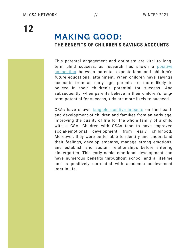### **MAKING GOOD: THE BENEFITS OF CHILDREN'S SAVINGS ACCOUNTS**

This parental engagement and optimism are vital to longterm child success, as research has shown a positive connection between parental [expectations](https://www.bostonfed.org/publications/community-development-issue-briefs/2016/identifying-short-term-outcome-metrics-for-evaluating-whether-childrens-savings-accounts-programs-are-on-track.aspx) and children's future educational attainment. When children have savings accounts from an early age, parents are more likely to believe in their children's potential for success. And subsequently, when parents believe in their children's longterm potential for success, kids are more likely to succeed.

CSAs have shown [tangible](https://csd.wustl.edu/16-07/) positive impacts on the health and development of children and families from an early age, improving the quality of life for the whole family of a child with a CSA. Children with CSAs tend to have improved social-emotional development from early childhood. Moreover, they were better able to identify and understand their feelings, develop empathy, manage strong emotions, and establish and sustain relationships before entering kindergarten. This early social-emotional development can have numerous benefits throughout school and a lifetime and is positively correlated with academic achievement later in life.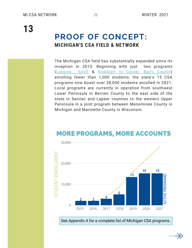### **PROOF OF CONCEPT: MICHIGAN'S CSA FIELD & NETWORK**

The Michigan CSA field has substantially expanded since its inception in 2015. Beginning with just two programs ([Lansing](https://www.msufcu.org/lansingsave/) [SAVE](https://www.msufcu.org/lansingsave/) & [KickStart](https://www.barrycf.org/funds_overview/partnerships/kickstart-to-career/) to Career, Barry County) enrolling fewer than 1,000 students, the state's 15 CSA programs now boast over 28,000 students enrolled in 2021. Local programs are currently in operation from southwest Lower Peninsula in Berrien County to the east side of the state in Sanilac and Lapeer counties to the western Upper Peninsula in a joint program between Menominee County in Michigan and Marinette County in Wisconsin.



#### MORE PROGRAMS, MORE ACCOUNTS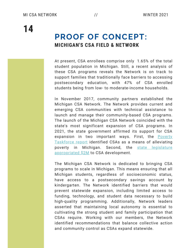#### **PROOF OF CONCEPT: MICHIGAN'S CSA FIELD & NETWORK**

At present, CSA enrollees comprise only 1.65% of the total student population in Michigan. Still, a recent analysis of these CSA programs reveals the Network is on track to support families that traditionally face barriers to accessing postsecondary education, with 47% of CSA enrolled students being from low- to moderate-income households.

In November 2017, community partners established the Michigan CSA Network. The Network provides current and emerging CSA communities with technical assistance to launch and manage their community-based CSA programs. The launch of the Michigan CSA Network coincided with the state's most significant expansion of CSA programs. In 2021, the state government affirmed its support for CSA expansion in two important ways. First, the Poverty Taskforce report identified CSAs as a means of [alleviating](https://www.michigan.gov/documents/leo/LEO-Poverty_Task_Force_Report_716585_7.pdf) poverty in Michigan. Second, the state legislature appropriated \$2M to CSA [development.](https://cedamichigan.org/2021/02/governor-whitmers-budget-proposal-includes-funding-for-key-community-economic-development-initiatives/)

The Michigan CSA Network is dedicated to bringing CSA programs to scale in Michigan. This means ensuring that all Michigan students, regardless of socioeconomic status, have access to a postsecondary savings account by kindergarten. The Network identified barriers that would prevent statewide expansion, including limited access to funding, technology, and student data necessary to build high-quality programming. Additionally, Network leaders asserted that maintaining local autonomy is essential to cultivating the strong student and family participation that CSAs require. Working with our members, the Network identified recommendations that balance collective action and community control as CSAs expand statewide.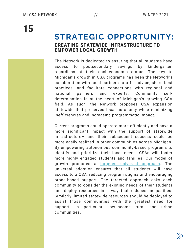#### **STRATEGIC OPPORTUNITY: CREATING STATEWIDE INFRASTRUCTURE TO EMPOWER LOCAL GROWTH**

The Network is dedicated to ensuring that all students have access to postsecondary savings by kindergarten regardless of their socioeconomic status. The key to Michigan's growth in CSA programs has been the Network's collaboration with local partners to offer advice, share best practices, and facilitate connections with regional and national partners and experts. Community selfdetermination is at the heart of Michigan's growing CSA field. As such, the Network proposes CSA expansion statewide that preserves local autonomy while minimizing inefficiencies and increasing programmatic impact.

Current programs could operate more efficiently and have a more significant impact with the support of statewide infrastructure— and their subsequent success could be more easily realized in other communities across Michigan. By empowering autonomous community-based programs to identify and prioritize their local needs, CSAs will foster more highly engaged students and families. Our model of growth promotes a targeted universal [approach.](https://prosperitynow.org/resources/designing-childrens-savings-account-programs-equity-lens) The universal adoption ensures that all students will have access to a CSA, reducing program stigma and encouraging broad-based support. The targeted approach asks each community to consider the existing needs of their students and deploy resources in a way that reduces inequalities. Similarly, limited statewide resources should be deployed to assist those communities with the greatest need for support, in particular, low-income rural and urban communities.

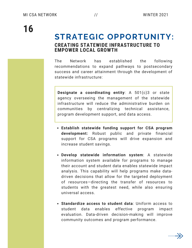#### **STRATEGIC OPPORTUNITY: CREATING STATEWIDE INFRASTRUCTURE TO EMPOWER LOCAL GROWTH**

The Network has established the following recommendations to expand pathways to postsecondary success and career attainment through the development of statewide infrastructure:

**Designate a coordinating entity**: A 501(c)3 or state agency overseeing the management of the statewide infrastructure will reduce the administrative burden on communities by centralizing technical assistance, program development support, and data access.

- **Establish statewide funding support for CSA program development:** Robust public and private financial support for CSA programs will drive expansion and increase student savings.
- **Develop statewide information system**: A statewide information system available for programs to manage their account and student data enables statewide impact analysis. This capability will help programs make datadriven decisions that allow for the targeted deployment of resources—directing the transfer of resources to students with the greatest need, while also ensuring universal access.
- **Standardize access to student data**: Uniform access to student data enables effective program impact evaluation. Data-driven decision-making will improve community outcomes and program performance.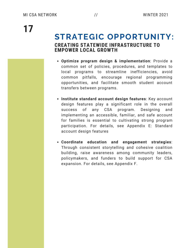#### **STRATEGIC OPPORTUNITY: CREATING STATEWIDE INFRASTRUCTURE TO EMPOWER LOCAL GROWTH**

- **Optimize program design & implementation**: Provide a common set of policies, procedures, and templates to local programs to streamline inefficiencies, avoid common pitfalls, encourage regional programming opportunities, and facilitate smooth student account transfers between programs.
- **Institute standard account design features**: Key account design features play a significant role in the overall success of any CSA program. Designing and implementing an accessible, familiar, and safe account for families is essential to cultivating strong program participation. For details, see Appendix E: Standard account design features
- **Coordinate education and engagement strategies**: Through consistent storytelling and cohesive coalition building, raise awareness among community leaders, policymakers, and funders to build support for CSA expansion. For details, see Appendix F.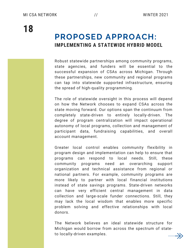Robust statewide partnerships among community programs, state agencies, and funders will be essential to the successful expansion of CSAs across Michigan. Through these partnerships, new community and regional programs can tap into statewide supported infrastructure, ensuring the spread of high-quality programming.

The role of statewide oversight in this process will depend on how the Network chooses to expand CSAs across the state moving forward. Our options span the continuum from completely state-driven to entirely locally-driven. The degree of program centralization will impact operational autonomy of local programs, collection and management of participant data, fundraising capabilities, and overall account management.

Greater local control enables community flexibility in program design and implementation can help to ensure that programs can respond to local needs. Still, these community programs need an overarching support organization and technical assistance from regional or national partners. For example, community programs are more likely to partner with local financial institutions instead of state savings programs. State-driven networks can have very efficient central management in data collection and large-scale funder connections. Still, they may lack the local wisdom that enables more specific problem solving and effective relationships with local donors.

The Network believes an ideal statewide structure for Michigan would borrow from across the spectrum of stateto locally-driven examples.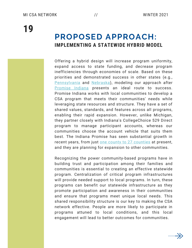Offering a hybrid design will increase program uniformity, expand access to state funding, and decrease program [inefficiencies](https://cedamichigan.org/mcfe/childrens-savings/) through economies of scale. Based on these priorities and demonstrated success in other states (e.g., [Pennsylvania](https://www.pa529.com/keystone/) and [Nebraska\)](https://treasurer.nebraska.gov/news/default.aspx?story=513), modeling our approach after [Promise](https://www.iyi.org/) Indiana presents an ideal route to success. Promise Indiana works with local communities to develop a CSA program that meets their communities' needs while leveraging state resources and structure. They have a set of shared values, standards, and features across all programs, enabling their rapid expansion. However, unlike Michigan, they partner closely with Indiana's CollegeChoice 529 Direct program to manage participant accounts, whereas our communities choose the account vehicle that suits them best. The Indiana Promise has seen substantial growth in recent years, from just one county to 27 [counties](https://www.heartlandalliance.org/the-growth-of-childrens-savings-accounts-in-the-midwest/) at present, and they are planning for expansion to other communities.

Recognizing the power community-based programs have in building trust and participation among their families and communities is essential to creating an effective statewide program. Centralization of critical program infrastructures will provide needed support to local programs. In turn, these programs can benefit our statewide infrastructure as they promote participation and awareness in their communities and ensure that programs meet unique local needs. This shared responsibility structure is our key to making the CSA network effective. People are more likely to participate in programs attuned to local conditions, and this local engagement will lead to better outcomes for communities.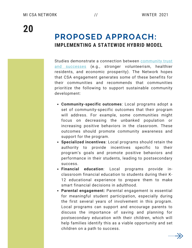Studies demonstrate a connection between community trust and successes (e.g., stronger [volunteerism,](http://robertdputnam.com/better-together/the-report/) healthier residents, and economic prosperity). The Network hopes that CSA engagement generates some of these benefits for their communities and recommends that communities prioritize the following to support sustainable community development:

- **Community-specific outcomes**: Local programs adopt a set of community-specific outcomes that their program will address. For example, some communities might focus on decreasing the unbanked population or increasing positive behaviors in the classroom. These outcomes should promote community awareness and support for the program.
- **Specialized incentives**: Local programs should retain the authority to provide incentives specific to their program's goals and promote positive behaviors and performance in their students, leading to postsecondary success.
- **Financial education**: Local programs provide inclassroom financial education to students during their K-12 educational experience to prepare them to make smart financial decisions in adulthood.
- **Parental engagement:** Parental engagement is essential for meaningful student participation, especially during the first several years of involvement in this program. Local programs can support and encourage parents to discuss the importance of saving and planning for postsecondary education with their children, which will help families identify this as a viable opportunity and set children on a path to success.

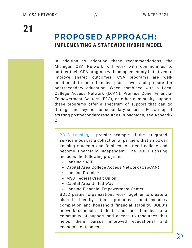In addition to adopting these recommendations, the Michigan CSA Network will work with communities to partner their CSA program with complementary initiatives to improve shared outcomes. CSA programs are wellpositioned to help families plan, save, and prepare for postsecondary education. When combined with a Local College Access Network (LCAN), Promise Zone, Financial Empowerment Centers (FEC), or other community support, these programs offer a spectrum of support that can go through and beyond postsecondary success. For a map of existing postsecondary resources in Michigan, see Appendix C.

BOLD [Lansing,](https://boldlansing.org/) a premier example of the [integrated](https://cedamichigan.org/mcfe/childrens-savings/) service model, is a collection of partners that empower Lansing students and families to attend college and become financially [independent.](https://cedamichigan.org/mcfe/childrens-savings/) The BOLD Lansing includes the following programs:

- [Lansing](https://cedamichigan.org/mcfe/childrens-savings/) SAVE
- Capital Area College Access Network [\(CapCAN\)](https://cedamichigan.org/mcfe/childrens-savings/)
- Lansing [Promise](https://cedamichigan.org/mcfe/childrens-savings/)
- MSU [Federal](https://cedamichigan.org/mcfe/childrens-savings/) Credit Union
- [Capital](https://cedamichigan.org/mcfe/childrens-savings/) Area United Way

Lansing Financial [Empowerment](https://cedamichigan.org/mcfe/childrens-savings/) Center BOLD partner [organizations](https://cedamichigan.org/mcfe/childrens-savings/) work together to create a shared identity that promotes [postsecondary](https://cedamichigan.org/mcfe/childrens-savings/) completion and household financial stability. BOLD's network connects students and their families to a community of support and access to resources that helps them pursue improved educational and economic outcomes.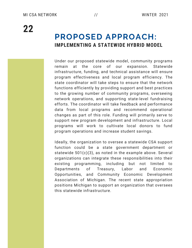Under our proposed statewide model, community programs remain at the core of our expansion. Statewide infrastructure, funding, and technical assistance will ensure program effectiveness and local program efficiency. The state coordinator will take steps to ensure that the network functions efficiently by providing support and best practices to the growing number of community programs, overseeing network operations, and supporting state-level fundraising efforts. The coordinator will take feedback and performance data from local programs and recommend operational changes as part of this role. Funding will primarily serve to support new program development and infrastructure. Local programs will work to cultivate local donors to fund program operations and increase student savings.

Ideally, the organization to oversee a statewide CSA support function could be a state government department or statewide 501(c)(3), as noted in the example above. Several organizations can integrate these responsibilities into their existing programming, including but not limited to Departments of Treasury, Labor and Economic Opportunities, and Community Economic Development Association of Michigan. The recent state appropriation positions Michigan to support an organization that oversees this statewide infrastructure.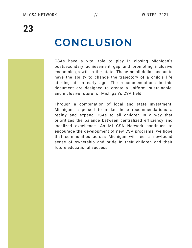# **CONCLUSION**

CSAs have a vital role to play in closing Michigan's postsecondary achievement gap and promoting inclusive economic growth in the state. These small-dollar accounts have the ability to change the trajectory of a child's life starting at an early age. The recommendations in this document are designed to create a uniform, sustainable, and inclusive future for Michigan's CSA field.

Through a combination of local and state investment, Michigan is poised to make these recommendations a reality and expand CSAs to all children in a way that prioritizes the balance between centralized efficiency and localized excellence. As MI CSA Network continues to encourage the development of new CSA programs, we hope that communities across Michigan will feel a newfound sense of ownership and pride in their children and their future educational success.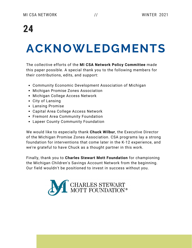# **ACKNOWLEDGMENTS**

The collective efforts of the **MI CSA Network Policy Committee** made this paper possible. A special thank you to the following members for their contributions, edits, and support:

- Community Economic Development Association of Michigan
- Michigan Promise Zones Association
- Michigan College Access Network
- City of Lansing
- Lansing Promise
- Capital Area College Access Network
- Fremont Area Community Foundation
- Lapeer County Community Foundation

We would like to especially thank **Chuck Wilbur**, the Executive Director of the Michigan Promise Zones Association. CSA programs lay a strong foundation for [interventions](https://prosperitynow.org/sites/default/files/resources/The-Power-of-Connecting-CSA-and-College%20Access-Success-Programs.pdf) that come later in the K-12 experience, and we're grateful to have Chuck as a thought partner in this work.

Finally, thank you to **Charles Stewart Mott Foundation** for championing the Michigan Children's Savings Account Network from the beginning. Our field wouldn't be positioned to invest in success without you.

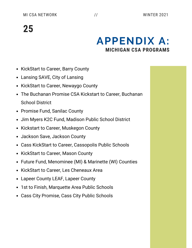### **APPENDIX A: MICHIGAN CSA PROGRAMS**

- KickStart to Career, Barry County
- Lansing SAVE, City of Lansing
- KickStart to Career, Newaygo County
- The Buchanan Promise CSA Kickstart to Career, Buchanan School District
- Promise Fund, Sanilac County
- Jim Myers K2C Fund, Madison Public School District
- Kickstart to Career, Muskegon County
- Jackson Save, Jackson County
- Cass KickStart to Career, Cassopolis Public Schools
- KickStart to Career, Mason County
- Future Fund, Menominee (MI) & Marinette (WI) Counties
- KickStart to Career, Les Cheneaux Area
- Lapeer County LEAF, Lapeer County
- 1st to Finish, Marquette Area Public Schools
- Cass City Promise, Cass City Public Schools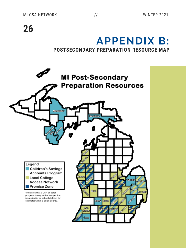### **APPENDIX B: POSTSECONDARY PREPARATION RESOURCE MAP**

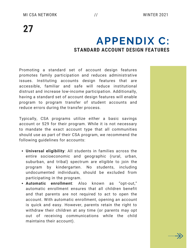### **APPENDIX C: STANDARD ACCOUNT DESIGN FEATURES**

Promoting a standard set of account design features promotes family participation and reduces [administrative](https://cedamichigan.org/mcfe/childrens-savings/) issues. Instituting accounts design features that are accessible, familiar and safe will reduce institutional distrust and increase low-income participation. Additionally, having a standard set of account design features will enable program to program transfer of student accounts and reduce errors during the transfer process.

Typically, CSA [programs](https://cedamichigan.org/mcfe/childrens-savings/) utilize either a basic savings account or 529 for their program. While it is not necessary to mandate the exact account type that all [communities](https://cedamichigan.org/mcfe/childrens-savings/) should use as part of their CSA program, we recommend the following guidelines for accounts:

- **Universal eligibility**: All students in families across the entire socioeconomic and geographic (rural, urban, suburban, and tribal) spectrum are eligible to join the program by kindergarten. No students, including undocumented individuals, should be excluded from participating in the program.
- **Automatic enrollment**: Also known as "opt-out," automatic enrollment ensures that all children benefit and that parents are not required to act to open the account. With automatic enrollment, opening an account is quick and easy. However, parents retain the right to withdraw their children at any time (or parents may opt out of receiving communications while the child maintains their account).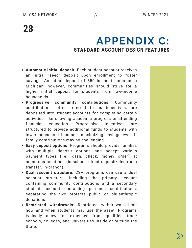### **APPENDIX C: STANDARD ACCOUNT DESIGN FEATURES**

- **[Automatic](https://cedamichigan.org/mcfe/childrens-savings/) initial deposit**: Each student account receives an initial "seed" deposit upon enrollment to foster savings. An initial deposit of \$50 is most common in Michigan; however, [communities](https://cedamichigan.org/mcfe/childrens-savings/) should strive for a higher initial deposit for students from low-income households.
- **Progressive community [contributions](https://cedamichigan.org/mcfe/childrens-savings/)**: Community [contributions,](https://cedamichigan.org/mcfe/childrens-savings/) often referred to as incentives, are deposited into student accounts for completing certain activities, like showing academic progress or attending financial education. Progressive Incentives are structured to provide additional funds to students with lower household incomes, maximizing savings even if family contributions may be challenging.
- **Easy deposit [options](https://cedamichigan.org/mcfe/childrens-savings/)**: Programs should provide families with multiple deposit options and accept various payment types (i.e., cash, check, money order) at numerous locations (in-school, direct [deposit/electronic](https://cedamichigan.org/mcfe/childrens-savings/) transfer, in-branch).
- **[Dua](https://cedamichigan.org/mcfe/childrens-savings/)l account [structure](https://cedamichigan.org/mcfe/childrens-savings/)**: CSA programs can use a dual account [structure,](https://cedamichigan.org/mcfe/childrens-savings/) including the primary account containing community contributions and a secondary student account containing personal [contributions,](https://cedamichigan.org/mcfe/childrens-savings/) separating the two protects public or philanthropic donations.
- **Restricted [withdrawals](https://cedamichigan.org/mcfe/childrens-savings/)**: Restricted withdrawals limit how and when students may use the asset. Programs typically allow for expenses from qualified trade schools, colleges, and [universities](https://cedamichigan.org/mcfe/childrens-savings/) inside or outside the State.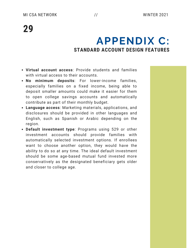### **APPENDIX C: STANDARD ACCOUNT DESIGN FEATURES**

- **Virtual [account](https://cedamichigan.org/mcfe/childrens-savings/) access**: Provide students and families with virtual access to their [accounts.](https://cedamichigan.org/mcfe/childrens-savings/)
- **No [minimum](https://cedamichigan.org/mcfe/childrens-savings/) deposits**: For lower-income families, especially families on a fixed income, being able to deposit smaller amounts could make it easier for them to open college savings accounts and [automatically](https://cedamichigan.org/mcfe/childrens-savings/) contribute as part of their monthly budget.
- **[Language](https://cedamichigan.org/mcfe/childrens-savings/) access**: Marketing materials, [applications,](https://cedamichigan.org/mcfe/childrens-savings/) and disclosures should be provided in other languages and English, such as Spanish or Arabic depending on the region.
- **Default [investment](https://cedamichigan.org/mcfe/childrens-savings/) type**: Programs using 529 or other investment accounts should provide families with automatically selected investment options. If enrollees want to choose another option, they would have the ability to do so at any time. The ideal default investment should be some age-based mutual fund invested more [conservatively](https://cedamichigan.org/mcfe/childrens-savings/) as the designated beneficiary gets older and closer to college age.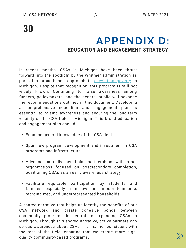### **APPENDIX D: EDUCATION AND ENGAGEMENT STRATEGY**

In recent months, CSAs in Michigan have been thrust forward into the spotlight by the Whitmer administration as part of a broad-based approach to [alleviating](https://www.michigan.gov/documents/leo/LEO-Poverty_Task_Force_Report_716585_7.pdf) poverty in Michigan. Despite that recognition, this program is still not widely known. Continuing to raise awareness among funders, policymakers, and the general public will advance the recommendations outlined in this document. Developing a comprehensive education and engagement plan is essential to raising awareness and securing the long-term viability of the CSA field in Michigan. This broad education and engagement plan should:

- Enhance general knowledge of the CSA field
- Spur new program development and investment in CSA programs and infrastructure
- Advance mutually beneficial partnerships with other organizations focused on postsecondary completion, positioning CSAs as an early awareness strategy
- Facilitate equitable participation by students and families, especially from low- and moderate-income, marginalized, and underrepresented households

A shared narrative that helps us identify the benefits of our CSA network and create cohesive bonds between community programs is central to expanding CSAs in Michigan. Through this shared narrative, active partners can spread awareness about CSAs in a manner consistent with the rest of the field, ensuring that we create more highquality community-based programs.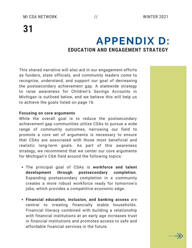### **APPENDIX D: EDUCATION AND ENGAGEMENT STRATEGY**

This shared narrative will also aid in our engagement efforts as funders, state officials, and community leaders come to recognize, understand, and support our goal of decreasing the postsecondary achievement gap. A statewide strategy to raise awareness for Children's Savings Accounts in Michigan is outlined below, and we believe this will help us to achieve the goals listed on page 16.

#### **Focusing on core arguments**

While the overall goal is to reduce the postsecondary achievement gap communities utilize CSAs to pursue a wide range of community outcomes, narrowing our field to promote a core set of arguments is necessary to ensure that CSAs are associated with those most beneficial and realistic long-term goals. As part of this awareness strategy, we recommend that we center our core arguments for Michigan's CSA field around the following topics:

- The principal goal of CSAs is **workforce and talent development through postsecondary completion**. Expanding postsecondary completion in a community creates a more robust workforce ready for tomorrow's jobs, which provides a competitive economic edge.
- **Financial education, inclusion, and banking access** are central to creating financially stable households. Financial literacy combined with building a relationship with financial institutions at an early age increases trust in financial institutions and promotes access to safe and affordable financial services in the future.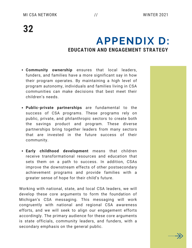### **APPENDIX D: EDUCATION AND ENGAGEMENT STRATEGY**

- **Community ownership** ensures that local leaders, funders, and families have a more significant say in how their program operates. By maintaining a high level of program autonomy, individuals and families living in CSA communities can make decisions that best meet their children's needs.
- **Public-private partnerships** are fundamental to the success of CSA programs. These programs rely on public, private, and philanthropic sectors to create both the savings product and program. These diverse partnerships bring together leaders from many sectors that are invested in the future success of their community.
- **Early childhood development** means that children receive transformational resources and education that sets them on a path to success. In addition, CSAs improve the downstream effects of other postsecondary achievement programs and provide families with a greater sense of hope for their child's future.

Working with national, state, and local CSA leaders, we will develop these core arguments to form the foundation of Michigan's CSA messaging. This messaging will work congruently with national and regional CSA awareness efforts, and we will seek to align our engagement efforts accordingly. The primary audience for these core arguments is state officials, community leaders, and funders, with a secondary emphasis on the general public.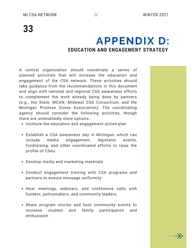### **APPENDIX D: EDUCATION AND ENGAGEMENT STRATEGY**

A central organization should coordinate a series of planned activities that will increase the education and engagement of the CSA network. These activities should take guidance from the recommendations in this document and align with national and regional CSA awareness efforts to complement the work already being done by partners (e.g., the State, MCAN, Midwest CSA Consortium, and the Michigan Promise Zones Association). The coordinating agency should consider the following activities, though there are undoubtedly more options:

- Institute the education and engagement action plan
- Establish a CSA awareness day in Michigan, which can include media engagement, legislator events, fundraising, and other coordinated efforts to raise the profile of CSAs
- Develop media and marketing materials
- Conduct engagement training with CSA programs and partners to ensure message uniformity
- Host meetings, webinars, and conference calls with funders, policymakers, and community leaders
- Share program stories and host community events to increase student and family participation and enthusiasm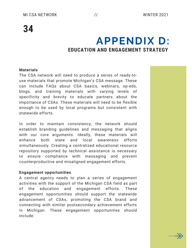### **APPENDIX D: EDUCATION AND ENGAGEMENT STRATEGY**

#### **Materials**

The CSA network will need to produce a series of ready-touse materials that promote Michigan's CSA message. These can include FAQs about CSA basics, webinars, op-eds, blogs, and training materials with varying levels of specificity and brevity to educate partners about the importance of CSAs. These materials will need to be flexible enough to be used by local programs but consistent with statewide efforts.

In order to maintain consistency, the network should establish branding guidelines and messaging that aligns with our core arguments. Ideally, these materials will enhance both state and local awareness efforts simultaneously. Creating a centralized educational resource repository supported by technical assistance is necessary to ensure compliance with messaging and prevent counterproductive and misaligned engagement efforts.

#### **Engagement opportunities**

A central agency needs to plan a series of engagement activities with the support of the Michigan CSA field as part of the education and engagement efforts. These engagement opportunities should support the statewide advancement of CSAs, promoting the CSA brand and connecting with similar postsecondary achievement efforts in Michigan. These engagement opportunities should include: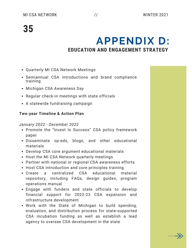### **APPENDIX D: EDUCATION AND ENGAGEMENT STRATEGY**

- Quarterly MI CSA Network Meetings
- Semiannual CSA introductions and brand compliance training
- Michigan CSA Awareness Day
- Regular check-in meetings with state officials
- A statewide fundraising campaign

#### **Two-year Timeline & Action Plan**

*January 2022 - December 2022*

- Promote the "Invest In Success" CSA policy framework paper
- Disseminate op-eds, blogs, and other educational materials
- Develop CSA core argument educational materials
- Host the MI CSA Network quarterly meetings
- Partner with national or regional CSA awareness efforts
- Host CSA introduction and core principles training
- Create a centralized CSA educational material repository, including FAQs, design guides, program operations manual
- Engage with funders and state officials to develop financial support for 2022-23 CSA expansion and infrastructure development
- Work with the State of Michigan to build spending, evaluation, and distribution process for state-supported CSA incubation funding as well as establish a lead agency to oversee CSA development in the state